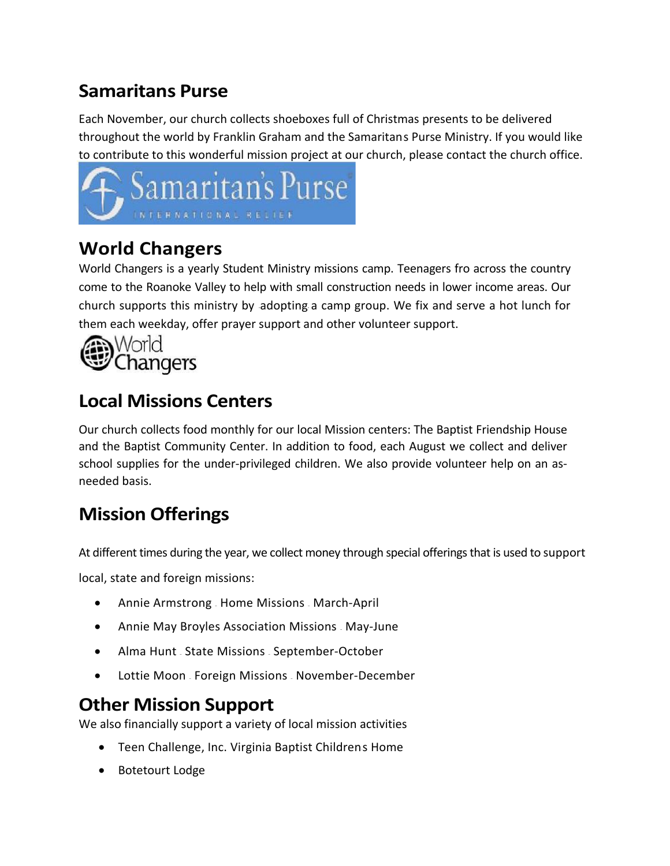## **Samaritan's Purse**

Each November, our church collects shoeboxes full of Christmas presents to be delivered throughout the world by Franklin Graham and the Samaritans Purse Ministry. If you would like to contribute to this wonderful mission project at our church, please contact the church office.



### **World Changers**

World Changers is a yearly Student Ministry missions camp. Teenagers fro across the country come to the Roanoke Valley to help with small construction needs in lower income areas. Our church supports this ministry by adopting a camp group. We fix and serve a hot lunch for them each weekday, offer prayer support and other volunteer support.



## **Local Missions Centers**

Our church collects food monthly for our local Mission centers: The Baptist Friendship House and the Baptist Community Center. In addition to food, each August we collect and deliver school supplies for the under-privileged children. We also provide volunteer help on an asneeded basis.

# **Mission Offerings**

At different times during the year, we collect money through special offerings that is used to support

local, state and foreign missions:

- Annie Armstrong Home Missions March-April
- Annie May Broyles Association Missions May-June
- Alma Hunt State Missions September-October
- Lottie Moon Foreign Missions November-December

#### **Other Mission Support**

We also financially support a variety of local mission activities

- Teen Challenge, Inc. Virginia Baptist Childrens Home
- Botetourt Lodge